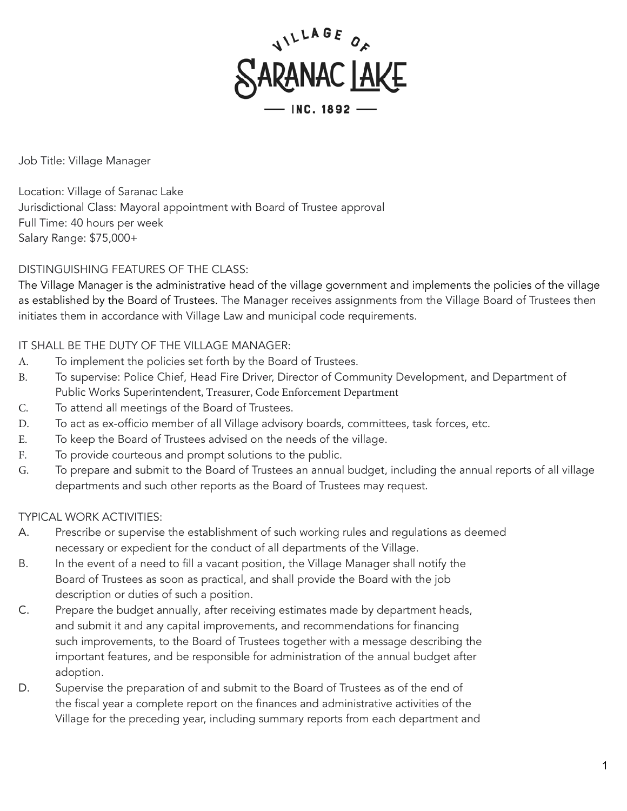

Job Title: Village Manager

Location: Village of Saranac Lake Jurisdictional Class: Mayoral appointment with Board of Trustee approval Full Time: 40 hours per week Salary Range: \$75,000+

DISTINGUISHING FEATURES OF THE CLASS:

The Village Manager is the administrative head of the village government and implements the policies of the village as established by the Board of Trustees. The Manager receives assignments from the Village Board of Trustees then initiates them in accordance with Village Law and municipal code requirements.

## IT SHALL BE THE DUTY OF THE VILLAGE MANAGER:

- A. To implement the policies set forth by the Board of Trustees.
- B. To supervise: Police Chief, Head Fire Driver, Director of Community Development, and Department of Public Works Superintendent, Treasurer, Code Enforcement Department
- C. To attend all meetings of the Board of Trustees.
- D. To act as ex-officio member of all Village advisory boards, committees, task forces, etc.
- E. To keep the Board of Trustees advised on the needs of the village.
- F. To provide courteous and prompt solutions to the public.
- G. To prepare and submit to the Board of Trustees an annual budget, including the annual reports of all village departments and such other reports as the Board of Trustees may request.

## TYPICAL WORK ACTIVITIES:

- A. Prescribe or supervise the establishment of such working rules and regulations as deemed necessary or expedient for the conduct of all departments of the Village.
- B. In the event of a need to fill a vacant position, the Village Manager shall notify the Board of Trustees as soon as practical, and shall provide the Board with the job description or duties of such a position.
- C. Prepare the budget annually, after receiving estimates made by department heads, and submit it and any capital improvements, and recommendations for financing such improvements, to the Board of Trustees together with a message describing the important features, and be responsible for administration of the annual budget after adoption.
- D. Supervise the preparation of and submit to the Board of Trustees as of the end of the fiscal year a complete report on the finances and administrative activities of the Village for the preceding year, including summary reports from each department and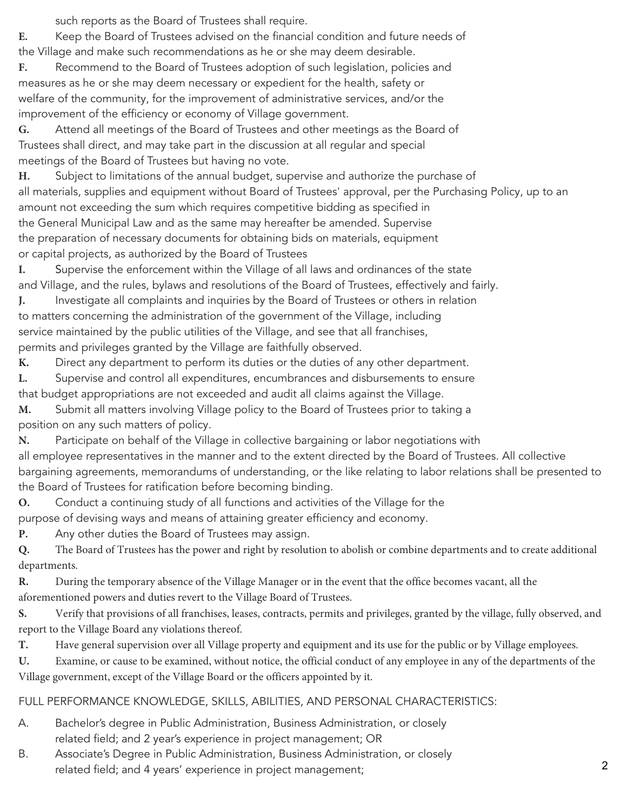such reports as the Board of Trustees shall require.

**E.** Keep the Board of Trustees advised on the financial condition and future needs of the Village and make such recommendations as he or she may deem desirable.

**F.** Recommend to the Board of Trustees adoption of such legislation, policies and measures as he or she may deem necessary or expedient for the health, safety or welfare of the community, for the improvement of administrative services, and/or the improvement of the efficiency or economy of Village government.

**G.** Attend all meetings of the Board of Trustees and other meetings as the Board of Trustees shall direct, and may take part in the discussion at all regular and special meetings of the Board of Trustees but having no vote.

**H.** Subject to limitations of the annual budget, supervise and authorize the purchase of all materials, supplies and equipment without Board of Trustees' approval, per the Purchasing Policy, up to an amount not exceeding the sum which requires competitive bidding as specified in the General Municipal Law and as the same may hereafter be amended. Supervise the preparation of necessary documents for obtaining bids on materials, equipment or capital projects, as authorized by the Board of Trustees

**I.** Supervise the enforcement within the Village of all laws and ordinances of the state and Village, and the rules, bylaws and resolutions of the Board of Trustees, effectively and fairly.

**J.** Investigate all complaints and inquiries by the Board of Trustees or others in relation to matters concerning the administration of the government of the Village, including service maintained by the public utilities of the Village, and see that all franchises, permits and privileges granted by the Village are faithfully observed.

**K.** Direct any department to perform its duties or the duties of any other department.

**L.** Supervise and control all expenditures, encumbrances and disbursements to ensure that budget appropriations are not exceeded and audit all claims against the Village.

**M.** Submit all matters involving Village policy to the Board of Trustees prior to taking a position on any such matters of policy.

**N.** Participate on behalf of the Village in collective bargaining or labor negotiations with all employee representatives in the manner and to the extent directed by the Board of Trustees. All collective bargaining agreements, memorandums of understanding, or the like relating to labor relations shall be presented to the Board of Trustees for ratification before becoming binding.

**O.** Conduct a continuing study of all functions and activities of the Village for the purpose of devising ways and means of attaining greater efficiency and economy.

**P.** Any other duties the Board of Trustees may assign.

**Q.** The Board of Trustees has the power and right by resolution to abolish or combine departments and to create additional departments.

**R.** During the temporary absence of the Village Manager or in the event that the office becomes vacant, all the aforementioned powers and duties revert to the Village Board of Trustees.

**S.** Verify that provisions of all franchises, leases, contracts, permits and privileges, granted by the village, fully observed, and report to the Village Board any violations thereof.

**T.** Have general supervision over all Village property and equipment and its use for the public or by Village employees.

**U.** Examine, or cause to be examined, without notice, the official conduct of any employee in any of the departments of the Village government, except of the Village Board or the officers appointed by it.

## FULL PERFORMANCE KNOWLEDGE, SKILLS, ABILITIES, AND PERSONAL CHARACTERISTICS:

- A. Bachelor's degree in Public Administration, Business Administration, or closely related field; and 2 year's experience in project management; OR
- B. Associate's Degree in Public Administration, Business Administration, or closely related field; and 4 years' experience in project management; 2